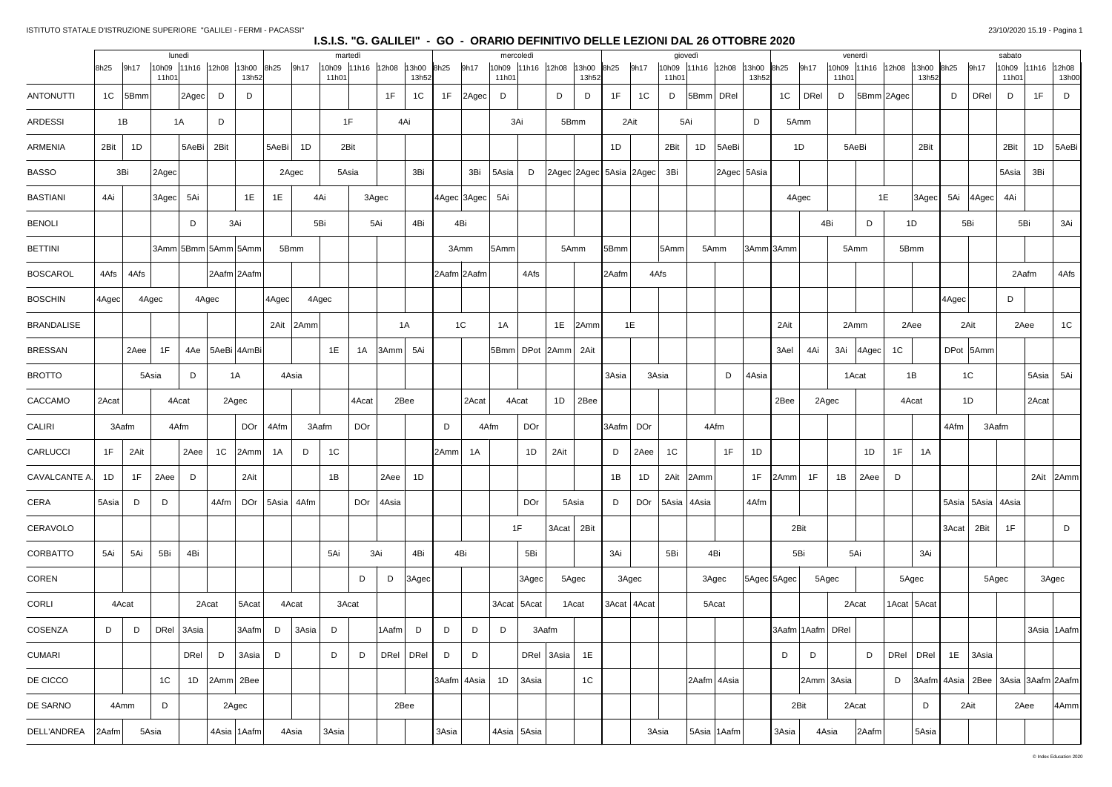### ISTITUTO STATALE D'ISTRUZIONE SUPERIORE "GALILEI - FERMI - PACASSI"

|                   |       |       |                | lunedì            |               |                     |       |                | martedì |                   |       |                |       | mercoledì         |       |                         |      |              | giovedì   |                             |           |       |                         |             |                  |       | venerdì                    |                         |                                                |       | sabato         |       |                      |
|-------------------|-------|-------|----------------|-------------------|---------------|---------------------|-------|----------------|---------|-------------------|-------|----------------|-------|-------------------|-------|-------------------------|------|--------------|-----------|-----------------------------|-----------|-------|-------------------------|-------------|------------------|-------|----------------------------|-------------------------|------------------------------------------------|-------|----------------|-------|----------------------|
|                   | 8h25  | 9h17  | 11h01          | 10h09 11h16 12h08 |               | 13h00<br>13h52      | 8h25  | 9h17           | 11h01   | 10h09 11h16 12h08 |       | 13h00<br>13h52 | 8h25  | 9h17              | 11h01 | 10h09 11h16 12h08 13h00 |      | 13h52        | 8h25      | 9h17                        | 11h01     |       | 10h09 11h16 12h08 13h00 | 13h52       | 9h17<br>8h25     |       | 10h09 11h16 12h08<br>11h01 | 13h00 8h25<br>13h52     | 9h17                                           |       | 10h09<br>11h0' |       | 11h16 12h08<br>13h00 |
| <b>ANTONUTTI</b>  | 1C    | 5Bmm  |                | 2Agec             | D             | D                   |       |                |         |                   | 1F    | 1C             | 1F    | $ 2 \text{Agec} $ | D     |                         | D    | D            | 1F        | D<br>1C                     |           |       | 5Bmm DRel               |             | 1C<br>DRel       |       | D<br> 5Bmm 2Agec           |                         | D                                              | DRel  | D              | 1F    | D                    |
| <b>ARDESSI</b>    |       | 1B    |                | 1A                | D             |                     |       |                | 1F      |                   |       | 4Ai            |       |                   | 3Ai   |                         |      | 5Bmm         |           | 2Ait                        | 5Ai       |       |                         | D           | 5Amm             |       |                            |                         |                                                |       |                |       |                      |
| ARMENIA           | 2Bit  | 1D    |                | 5AeBi             | 2Bit          |                     | 5AeBi | 1D             | 2Bit    |                   |       |                |       |                   |       |                         |      |              | 1D        | 2Bit                        |           | 1D    | 5AeBi                   |             | 1D               |       | 5AeBi                      | 2Bit                    |                                                |       | 2Bit           | 1D    | 5AeBi                |
| <b>BASSO</b>      |       | 3Bi   | 2Agec          |                   |               |                     |       | 2Agec          | 5Asia   |                   |       | 3Bi            |       | 3Bi               | 5Asia | D                       |      |              |           | 2Agec 2Agec 5Asia 2Agec 3Bi |           |       |                         | 2Agec 5Asia |                  |       |                            |                         |                                                |       | 5Asia          | 3Bi   |                      |
| <b>BASTIANI</b>   | 4Ai   |       | 3Agec          | 5Ai               |               | 1E                  | 1E    | 4Ai            |         | 3Agec             |       |                |       | 4Agec 3Agec       | 5Ai   |                         |      |              |           |                             |           |       |                         |             | 4Agec            |       |                            | 1E<br>$ 3 \text{Agec} $ | 5Ai<br> 4Agec                                  |       | 4Ai            |       |                      |
| <b>BENOLI</b>     |       |       |                | D                 |               | 3Ai                 |       | 5Bi            |         | 5Ai               |       | 4Bi            |       | 4Bi               |       |                         |      |              |           |                             |           |       |                         |             |                  | 4Bi   | D                          | 1D                      | 5Bi                                            |       | 5Bi            |       | 3Ai                  |
| <b>BETTINI</b>    |       |       |                |                   |               | 3Amm 5Bmm 5Amm 5Amm |       | 5Bmm           |         |                   |       |                |       | 3Amm              | 5Amm  |                         |      | 5Amm         | 5Bmm      | 5Amm                        |           | 5Amm  |                         |             | 3Amm 3Amm        |       | 5Amm                       | 5Bmm                    |                                                |       |                |       |                      |
| <b>BOSCAROL</b>   | 4Afs  | 4Afs  |                |                   |               | 2Aafm 2Aafm         |       |                |         |                   |       |                |       | 2Aafm 2Aafm       |       | 4Afs                    |      |              | 2Aafm     | 4Afs                        |           |       |                         |             |                  |       |                            |                         |                                                |       | 2Aafm          |       | 4Afs                 |
| <b>BOSCHIN</b>    | 4Agec |       | 4Agec          |                   | 4Agec         |                     | 4Agec | 4Agec          |         |                   |       |                |       |                   |       |                         |      |              |           |                             |           |       |                         |             |                  |       |                            |                         | 4Agec                                          |       | D              |       |                      |
| <b>BRANDALISE</b> |       |       |                |                   |               |                     |       | 2Ait 2Amm      |         |                   |       | 1A             |       | 1 <sup>C</sup>    | 1A    |                         |      | $1E$   2Amm  |           | 1E                          |           |       |                         |             | 2Ait             |       | 2Amm                       | 2Aee                    | 2Ait                                           |       | 2Aee           |       | 1C                   |
| <b>BRESSAN</b>    |       | 2Aee  | 1F             |                   |               | 4Ae   5AeBi   4AmBi |       |                | 1E      | 1A                | 3Amm  | 5Ai            |       |                   |       | 5Bmm DPot 2Amm 2Ait     |      |              |           |                             |           |       |                         |             | 3Ael<br>4Ai      |       | 3Ai 4Agec                  | 1C                      | DPot 5Amm                                      |       |                |       |                      |
| <b>BROTTO</b>     |       |       | 5Asia          | D                 |               | 1A                  |       | 4Asia          |         |                   |       |                |       |                   |       |                         |      |              | 3Asia     | 3Asia                       |           |       | D                       | 4Asia       |                  |       | 1Acat                      | 1B                      | 1 <sup>C</sup>                                 |       |                | 5Asia | 5Ai                  |
| CACCAMO           | 2Acat |       |                | 4Acat             |               | 2Agec               |       |                |         | 4Acat             | 2Bee  |                |       | 2Acat             |       | 4Acat                   | 1D   | 2Bee         |           |                             |           |       |                         |             | 2Bee             | 2Agec |                            | 4Acat                   | 1D                                             |       |                | 2Acat |                      |
| CALIRI            |       | 3Aafm |                | 4Afm              |               | DOr                 | 4Afm  | 3Aafm          |         | <b>DOr</b>        |       |                | D     | 4Afm              |       | <b>DOr</b>              |      |              | 3Aafm DOr |                             |           | 4Afm  |                         |             |                  |       |                            |                         | 4Afm                                           | 3Aafm |                |       |                      |
| CARLUCCI          | 1F    | 2Ait  |                | 2Aee              | 1C            | 2Amm                | 1A    | D              | 1C      |                   |       |                | 2Amml | 1A                |       | 1D                      | 2Ait |              | D         | 2Aee<br>1 <sup>C</sup>      |           |       | 1F                      | 1D          |                  |       | 1D                         | 1F<br>1A                |                                                |       |                |       |                      |
| CAVALCANTE A.     | 1D    | 1F    | 2Aee           | D                 |               | 2Ait                |       |                | 1B      |                   | 2Aee  | 1D             |       |                   |       |                         |      |              | 1B        | 1D                          | 2Ait 2Amm |       |                         | 1F          | 1F<br>2Amm       |       | 1B<br>2Aee                 | D                       |                                                |       |                |       | 2Ait 2Amm            |
| CERA              | 5Asia | D     | D              |                   | 4Afm          |                     |       | DOr 5Asia 4Afm |         | DOr $ 4$ Asia     |       |                |       |                   |       | <b>DOr</b>              |      | 5Asia        | D         | DOr   5Asia   4Asia         |           |       |                         | 4Afm        |                  |       |                            |                         | 5Asia   5Asia   4Asia                          |       |                |       |                      |
| CERAVOLO          |       |       |                |                   |               |                     |       |                |         |                   |       |                |       |                   |       | 1F                      |      | $3Acat$ 2Bit |           |                             |           |       |                         |             | 2Bit             |       |                            |                         | 3Acat<br>2Bit                                  |       | 1F             |       | D                    |
| CORBATTO          | 5Ai   | 5Ai   | 5Bi            | 4Bi               |               |                     |       |                | 5Ai     | 3Ai               |       | 4Bi            |       | 4Bi               |       | 5Bi                     |      |              | 3Ai       | 5Bi                         |           | 4Bi   |                         |             | 5Bi              |       | 5Ai                        | 3Ai                     |                                                |       |                |       |                      |
| COREN             |       |       |                |                   |               |                     |       |                |         | D                 | D     | 3Agec          |       |                   |       | 3Agec                   |      | 5Agec        |           | 3Agec                       |           | 3Agec |                         |             | 5Agec 5Agec      | 5Agec |                            | 5Agec                   |                                                | 5Agec |                |       | 3Agec                |
| CORLI             |       | 4Acat |                | 2Acat             |               | 5Acat               |       | 4Acat          | 3Acat   |                   |       |                |       |                   |       | $3$ Acat   5Acat        |      | 1Acat        |           | 3Acat   4Acat               |           | 5Acat |                         |             |                  |       | 2Acat                      | 1Acat   5Acat           |                                                |       |                |       |                      |
| COSENZA           | D     | D     |                | DRel $3Asia$      |               | 3Aafm               | D     | 3Asia          | D       |                   | 1Aafm | D              | D     | D                 | D     | 3Aafm                   |      |              |           |                             |           |       |                         |             | 3Aafm 1Aafm DRel |       |                            |                         |                                                |       |                |       | 3Asia 1Aafm          |
| <b>CUMARI</b>     |       |       |                | DRel              | D             | 3Asia               | D     |                | D       | D                 |       | DRel   DRel    | D     | D                 |       | DRel $ 3$ Asia $ $      |      | 1E           |           |                             |           |       |                         |             | D<br>D           |       | D                          | DRel   DRel             | $1E$ 3Asia                                     |       |                |       |                      |
| DE CICCO          |       |       | 1 <sup>C</sup> | 1D                | $ 2Amm $ 2Bee |                     |       |                |         |                   |       |                |       | 3Aafm 4Asia       | 1D    | 3Asia                   |      | 1C           |           |                             |           |       | 2Aafm 4Asia             |             |                  |       | 2Amm 3Asia                 | D                       | $ 3Aafm $ 4Asia   2Bee   3Asia   3Aafm   2Aafm |       |                |       |                      |
| DE SARNO          |       | 4Amm  | D              |                   |               | 2Agec               |       |                |         |                   | 2Bee  |                |       |                   |       |                         |      |              |           |                             |           |       |                         |             | 2Bit             |       | 2Acat                      | D                       | 2Ait                                           |       | 2Aee           |       | 4Amm                 |
| DELL'ANDREA       | 2Aafm |       | 5Asia          |                   |               | 4Asia   1Aafm       |       | 4Asia          | 3Asia   |                   |       |                | 3Asia |                   |       | 4Asia 5Asia             |      |              |           | 3Asia                       |           |       | 5Asia 1Aafm             |             | 3Asia            | 4Asia | 2Aafm                      | 5Asia                   |                                                |       |                |       |                      |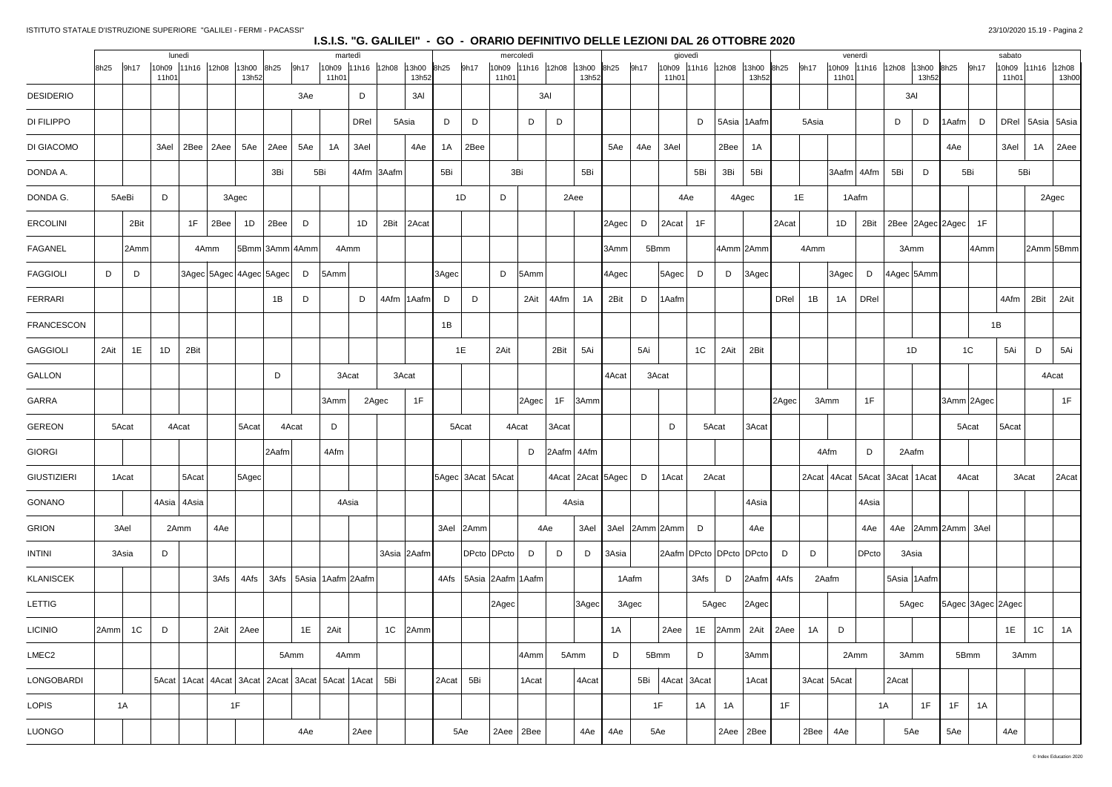|                    |       |                | lunedì                     |       |                               |                |                               |      |                | martedì       |                |                |       |                   |       | mercoledì                    |       |                       |       |                 | giovedì                       |      |                           |                   |              | venerdì                    |                                       |                    | sabato |                      |              |
|--------------------|-------|----------------|----------------------------|-------|-------------------------------|----------------|-------------------------------|------|----------------|---------------|----------------|----------------|-------|-------------------|-------|------------------------------|-------|-----------------------|-------|-----------------|-------------------------------|------|---------------------------|-------------------|--------------|----------------------------|---------------------------------------|--------------------|--------|----------------------|--------------|
|                    | 8h25  | 9h17           | 10h09 11h16 12h08<br>11h01 |       |                               | 13h00<br>13h52 | 8h25                          | 9h17 | 10h09<br>11h01 | $11h16$ 12h08 |                | 13h00<br>13h52 | 8h25  | 9h17              | 11h01 | 10h09 11h16 12h08            |       | 13h00<br>13h52        | 8h25  | 9h17<br>11h01   | 10h09 11h16 12h08 13h00       |      | 13h52                     | 8h25              | 9h17         | 10h09 11h16 12h08<br>11h01 | 13h00 8h25<br>13h52                   | 9h17               | 11h01  | 10h09 11h16 12h08    | 13h00        |
| <b>DESIDERIO</b>   |       |                |                            |       |                               |                |                               | 3Ae  |                | D             |                | 3AI            |       |                   |       | 3AI                          |       |                       |       |                 |                               |      |                           |                   |              |                            | 3AI                                   |                    |        |                      |              |
| DI FILIPPO         |       |                |                            |       |                               |                |                               |      |                | <b>DRel</b>   |                | 5Asia          | D     | D                 |       | D                            | D     |                       |       |                 | D                             |      | 5Asia 1Aafm               |                   | 5Asia        |                            | D<br>D                                | D<br>l Aafm ∣      |        | DRel   5Asia   5Asia |              |
| DI GIACOMO         |       |                | 3Ael                       | 2Bee  | 2Aee                          | 5Ae            | 2Aee                          | 5Ae  | 1A             | 3Ael          |                | 4Ae            | 1A    | 2Bee              |       |                              |       |                       | 5Ae   | 3Ael<br>4Ae     |                               | 2Bee | 1A                        |                   |              |                            |                                       | 4Ae                | 3Ael   | 1A                   | $\vert$ 2Aee |
| DONDA A.           |       |                |                            |       |                               |                | 3Bi                           | 5Bi  |                |               | 4Afm 3Aafm     |                | 5Bi   |                   |       | 3Bi                          |       | 5Bi                   |       |                 | 5Bi                           | 3Bi  | 5Bi                       |                   |              | 3Aafm 4Afm                 | 5Bi<br>D                              | 5Bi                |        | 5Bi                  |              |
| DONDA G.           | 5AeBi |                | D                          |       | 3Agec                         |                |                               |      |                |               |                |                |       | 1D                | D     |                              |       | 2Aee                  |       |                 | 4Ae                           |      | 4Agec                     |                   | 1E           | 1Aafm                      |                                       |                    |        |                      | 2Agec        |
| <b>ERCOLINI</b>    |       | 2Bit           |                            | 1F    | 2Bee                          | 1D             | 2Bee                          | D    |                | 1D            | 2Bit           | 2Acat          |       |                   |       |                              |       |                       | 2Agec | D<br>2Acat      | 1F                            |      |                           | 2Acat             |              | 2Bit<br>1D                 | 2Bee 2Agec 2Agec                      | 1F                 |        |                      |              |
| <b>FAGANEL</b>     |       | 2Amm           |                            |       | 4Amm                          |                | 5Bmm 3Amm 4Amm                |      |                | 4Amm          |                |                |       |                   |       |                              |       |                       | 3Amm  | 5Bmm            |                               |      | 4Amm 2Amm                 |                   | 4Amm         |                            | 3Amm                                  | 4Amm               |        |                      | 2Amm 5Bmm    |
| <b>FAGGIOLI</b>    | D     | D              |                            |       | 3Agec 5Agec 4Agec 5Agec       |                |                               | D    | 5Amm           |               |                |                | 3Agec |                   | D     | 5Amm                         |       |                       | 4Agec | $5 \text{Agec}$ | D                             | D    | $ 3 \text{Agec} $         |                   |              | $ 3 \text{Agec} $<br>D     | 4Agec 5Amm                            |                    |        |                      |              |
| <b>FERRARI</b>     |       |                |                            |       |                               |                | 1B                            | D    |                | D             |                | 4Afm   1Aafm   | D     | D                 |       | 2Ait                         | 4Afm  | 1A                    | 2Bit  | D<br>1Aafm      |                               |      |                           | <b>DRel</b>       | 1B           | DRel<br>1A                 |                                       |                    | 4Afm   | 2Bit                 | 2Ait         |
| <b>FRANCESCON</b>  |       |                |                            |       |                               |                |                               |      |                |               |                |                | 1B    |                   |       |                              |       |                       |       |                 |                               |      |                           |                   |              |                            |                                       |                    | 1B     |                      |              |
| <b>GAGGIOLI</b>    | 2Ait  | 1E             | 1D                         | 2Bit  |                               |                |                               |      |                |               |                |                |       | 1E                | 2Ait  |                              | 2Bit  | 5Ai                   |       | 5Ai             | 1C                            | 2Ait | 2Bit                      |                   |              |                            | 1D                                    | 1 <sup>C</sup>     | 5Ai    | D                    | 5Ai          |
| GALLON             |       |                |                            |       |                               |                | D                             |      |                | 3Acat         |                | 3Acat          |       |                   |       |                              |       |                       | 4Acat | 3Acat           |                               |      |                           |                   |              |                            |                                       |                    |        |                      | 4Acat        |
| GARRA              |       |                |                            |       |                               |                |                               |      | 3Amm           | 2Agec         |                | 1F             |       |                   |       | $ 2 \text{Agec} $            | 1F    | 3Amm                  |       |                 |                               |      |                           | $ 2 \text{Agec} $ |              | 3Amm<br>1F                 |                                       | 3Amm 2Agec         |        |                      | 1F           |
| <b>GEREON</b>      | 5Acat |                | 4Acat                      |       |                               | 5Acat          | 4Acat                         |      | D              |               |                |                |       | 5Acat             |       | 4Acat                        | 3Acat |                       |       | D               | 5Acat                         |      | 3Acat                     |                   |              |                            |                                       | 5Acat              | 5Acat  |                      |              |
| <b>GIORGI</b>      |       |                |                            |       |                               |                | 2Aafm                         |      | 4Afm           |               |                |                |       |                   |       | D                            |       | $ 2Aafm $ 4Afm        |       |                 |                               |      |                           |                   |              | 4Afm<br>D                  | 2Aafm                                 |                    |        |                      |              |
| <b>GIUSTIZIERI</b> | 1Acat |                |                            | 5Acat |                               | 5Agec          |                               |      |                |               |                |                |       | 5Agec 3Acat 5Acat |       |                              |       | 4Acat   2Acat   5Agec |       | D<br>1Acat      | 2Acat                         |      |                           |                   |              |                            | 2Acat   4Acat   5Acat   3Acat   1Acat | 4Acat              |        | 3Acat                | 2Acat        |
| GONANO             |       |                | 4Asia 4Asia                |       |                               |                |                               |      |                | 4Asia         |                |                |       |                   |       |                              |       | 4Asia                 |       |                 |                               |      | 4Asia                     |                   |              | 4Asia                      |                                       |                    |        |                      |              |
| <b>GRION</b>       | 3Ael  |                | 2Amm                       |       | 4Ae                           |                |                               |      |                |               |                |                |       | 3Ael 2Amm         |       | 4Ae                          |       | 3Ael                  |       | 3Ael 2Amm 2Amm  | D                             |      | 4Ae                       |                   |              | 4Ae                        |                                       | 4Ae 2Amm 2Amm 3Ael |        |                      |              |
| <b>INTINI</b>      | 3Asia |                | D                          |       |                               |                |                               |      |                |               |                | 3Asia 2Aafm    |       | DPcto   DPcto     |       | D                            | D     | D                     | 3Asia |                 | 2Aafm   DPcto   DPcto   DPcto |      |                           | D                 | D            | DPcto                      | 3Asia                                 |                    |        |                      |              |
| <b>KLANISCEK</b>   |       |                |                            |       | 3Afs                          | 4Afs           | 3Afs   5Asia   1Aafm   2Aafm  |      |                |               |                |                |       |                   |       | 4Afs   5Asia   2Aafm   1Aafm |       |                       |       | 1Aafm           | 3Afs                          | D    | $ 2Aafm $ 4Afs            |                   |              | 2Aafm                      | 5Asia 1Aafm                           |                    |        |                      |              |
| LETTIG             |       |                |                            |       |                               |                |                               |      |                |               |                |                |       |                   | 2Agec |                              |       | 3Agec                 |       | 3Agec           | 5Agec                         |      | $ 2 \text{Agec} $         |                   |              |                            | 5Agec                                 | 5Agec 3Agec 2Agec  |        |                      |              |
| <b>LICINIO</b>     | 2Amm  | 1 <sup>C</sup> | D                          |       | 2Ait                          | 2Aee           |                               | 1E   | 2Ait           |               | 1 <sup>C</sup> | 2Amm           |       |                   |       |                              |       |                       | 1A    | 2Aee            |                               |      | 1E $ 2Amm $ 2Ait $ 2Aee $ |                   | 1A           | D                          |                                       |                    | 1E     | 1 <sup>C</sup>       | 1A           |
| LMEC <sub>2</sub>  |       |                |                            |       |                               |                | 5Amm                          |      |                | 4Amm          |                |                |       |                   |       | 4Amm                         |       | 5Amm                  | D     | 5Bmm            | D                             |      | 3Amm                      |                   |              | 2Amm                       | 3Amm                                  | 5Bmm               |        | 3Amm                 |              |
| LONGOBARDI         |       |                |                            |       | 5Acat   1Acat   4Acat   3Acat |                | 2Acat   3Acat   5Acat   1Acat |      |                |               | 5Bi            |                | 2Acat | 5Bi               |       | 1Acat                        |       | 4Acat                 |       | 5Bi 4Acat 3Acat |                               |      | 1Acat                     |                   |              | 3Acat 5Acat                | 2Acat                                 |                    |        |                      |              |
| <b>LOPIS</b>       |       | 1A             |                            |       | 1F                            |                |                               |      |                |               |                |                |       |                   |       |                              |       |                       |       | 1F              | 1A                            | 1A   |                           | 1F                |              |                            | 1A<br>1F                              | 1F<br>1A           |        |                      |              |
| LUONGO             |       |                |                            |       |                               |                |                               | 4Ae  |                | 2Aee          |                |                |       | 5Ae               |       | $2Aee$ 2Bee                  |       | 4Ae                   | 4Ae   | 5Ae             |                               |      | $2Aee$ 2Bee               |                   | $2Bee$ $4Ae$ |                            | 5Ae                                   | 5Ae                | 4Ae    |                      |              |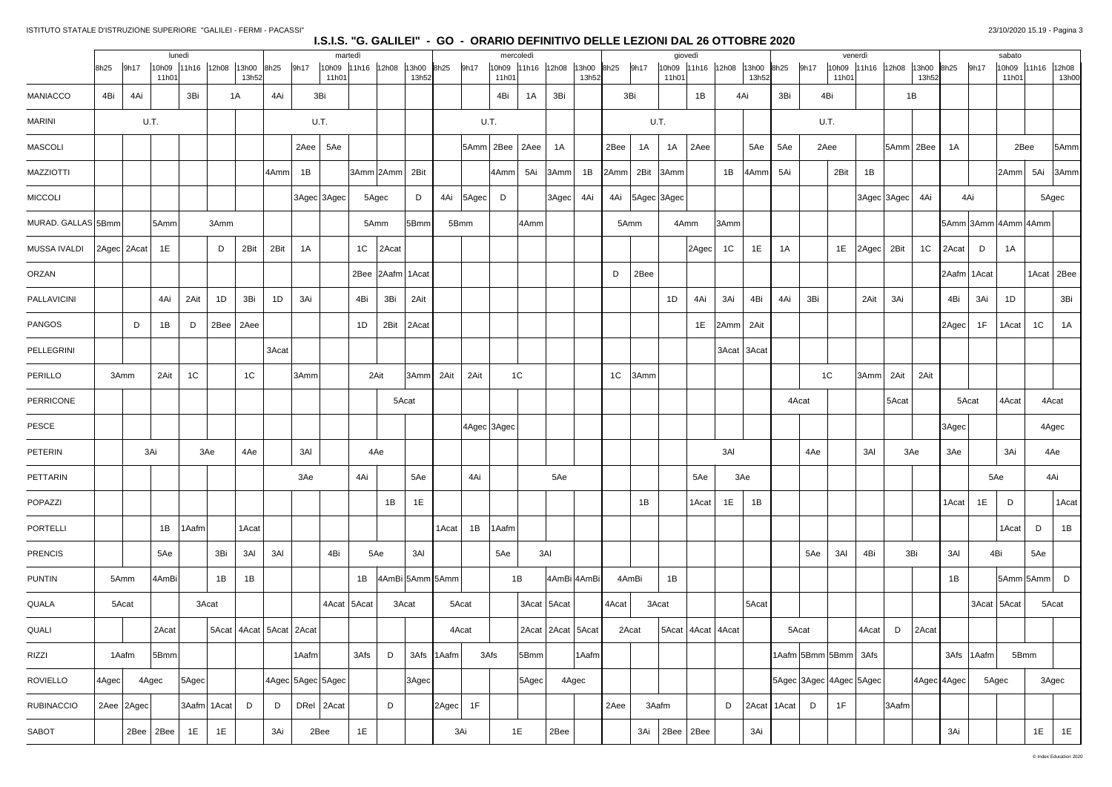|                    |       |             |               | lunedì            |       |                               |       |       | martedì           |                     |                     |            |             |       | mercoledì             |                   |                     |                     | giovedì                               |                |             |                   |                         | venerdì                      |           |                   |              | sabato                |              |                |
|--------------------|-------|-------------|---------------|-------------------|-------|-------------------------------|-------|-------|-------------------|---------------------|---------------------|------------|-------------|-------|-----------------------|-------------------|---------------------|---------------------|---------------------------------------|----------------|-------------|-------------------|-------------------------|------------------------------|-----------|-------------------|--------------|-----------------------|--------------|----------------|
|                    | 8h25  | 9h17        | 11h01         | 10h09 11h16 12h08 |       | 13h00<br>13h52                | 8h25  | 9h17  | 11h01             | 10h09 11h16 12h08   | 13h00 8h25<br>13h52 |            | 9h17        | 11h01 | 10h09 11h16 12h08     |                   | 13h00 8h25<br>13h52 | 9h17                | 10h09 11h16 12h08 13h00 8h25<br>11h01 |                | 13h52       |                   | 9h17<br>11h01           | 10h09 11h16 12h08 13h00 8h25 | 13h52     |                   | 9h17         | 10h09 11h16<br>11h01  |              | 12h08<br>13h00 |
| <b>MANIACCO</b>    | 4Bi   | 4Ai         |               | 3Bi               |       | 1A                            | 4Ai   |       | 3Bi               |                     |                     |            |             | 4Bi   | 1A                    | 3Bi               |                     | 3Bi                 | 1B                                    |                | 4Ai         | 3Bi               | 4Bi                     |                              | 1B        |                   |              |                       |              |                |
| <b>MARINI</b>      |       |             | U.T.          |                   |       |                               |       |       | U.T.              |                     |                     |            |             | U.T.  |                       |                   |                     |                     | U.T.                                  |                |             |                   | U.T.                    |                              |           |                   |              |                       |              |                |
| <b>MASCOLI</b>     |       |             |               |                   |       |                               |       | 2Aee  | 5Ae               |                     |                     |            |             |       | 5Amm 2Bee 2Aee        | 1A                |                     | 2Bee<br>1A          | 1A<br> 2Aee                           |                | 5Ae         | 5Ae               | 2Aee                    |                              | 5Amm 2Bee | 1A                |              |                       | 2Bee         | 5Amm           |
| <b>MAZZIOTTI</b>   |       |             |               |                   |       |                               | 4Amm  | 1B    |                   | 3Amm 2Amm 2Bit      |                     |            |             | 4Amm  | 5Ai                   | 3Amm'             | 1B                  | 2Amm                | 2Bit 3Amm                             | 1B             | 4Amm        | 5Ai               | 2Bit                    | 1B                           |           |                   |              | 2Amm                  | 5Ai          | 3Amm           |
| <b>MICCOLI</b>     |       |             |               |                   |       |                               |       |       | 3Agec 3Agec       | 5Agec               | D                   |            | 4Ai 5Agec D |       |                       | $ 3 \text{Agec} $ | 4Ai                 | 4Ai   5Agec   3Agec |                                       |                |             |                   |                         | 3Agec 3Agec                  | 4Ai       |                   | 4Ai          |                       | 5Agec        |                |
| MURAD. GALLAS 5Bmm |       |             | 5Amm          |                   | 3Amm  |                               |       |       |                   | 5Amm                | 5Bmm                |            | 5Bmm        |       | 4Amm                  |                   |                     | 5Amm                | 4Amm                                  | 3Amm           |             |                   |                         |                              |           |                   |              | $5Amm$ 3Amm 4Amm 4Amm |              |                |
| MUSSA IVALDI       |       | 2Agec 2Acat | 1E            |                   | D     | 2Bit                          | 2Bit  | 1A    |                   | 1C $ $ 2Acat        |                     |            |             |       |                       |                   |                     |                     | $ 2 \text{Agec} $                     | 1 <sup>C</sup> | 1E          | 1A                |                         | 1E 2Agec 2Bit                | 1C        | $ 2$ Acat $ D $   |              | 1A                    |              |                |
| ORZAN              |       |             |               |                   |       |                               |       |       |                   | 2Bee 2Aafm 1Acat    |                     |            |             |       |                       |                   |                     | 2Bee<br>D           |                                       |                |             |                   |                         |                              |           | 2Aafm 1Acat       |              |                       | 1Acat   2Bee |                |
| PALLAVICINI        |       |             | 4Ai           | 2Ait              | 1D    | 3Bi                           | 1D    | 3Ai   |                   | 4Bi<br>3Bi          | 2Ait                |            |             |       |                       |                   |                     |                     | 1D<br>4Ai                             | 3Ai            | 4Bi         | 4Ai               | 3Bi                     | 2Ait<br>3Ai                  |           | 4Bi               | 3Ai          | 1D                    |              | 3Bi            |
| PANGOS             |       | D           | 1B            | D                 | 2Bee  | 2Aee                          |       |       |                   | 1D<br>2Bit          | $ $ 2Acat           |            |             |       |                       |                   |                     |                     |                                       | 1E 2Amm 2Ait   |             |                   |                         |                              |           | $ 2 \text{Agec} $ | 1F           | 1 Acat                | 1C           | 1A             |
| PELLEGRINI         |       |             |               |                   |       |                               | 3Acat |       |                   |                     |                     |            |             |       |                       |                   |                     |                     |                                       |                | 3Acat 3Acat |                   |                         |                              |           |                   |              |                       |              |                |
| PERILLO            |       | 3Amm        | 2Ait          | 1C                |       | 1C                            |       | 3Amm  |                   | 2Ait                | 3Amm 2Ait           |            | 2Ait        |       | 1C                    |                   |                     | $1C$ 3Amm           |                                       |                |             |                   | 1 <sup>C</sup>          | 3Amm<br>2Ait                 | 2Ait      |                   |              |                       |              |                |
| PERRICONE          |       |             |               |                   |       |                               |       |       |                   |                     | 5Acat               |            |             |       |                       |                   |                     |                     |                                       |                |             |                   | 4Acat                   | 5Acat                        |           |                   | 5Acat        | 4Acat                 | 4Acat        |                |
| PESCE              |       |             |               |                   |       |                               |       |       |                   |                     |                     |            | AAgec 3Agec |       |                       |                   |                     |                     |                                       |                |             |                   |                         |                              |           | $ 3 \text{Agec} $ |              |                       | 4Agec        |                |
| PETERIN            |       |             | 3Ai           |                   | 3Ae   | 4Ae                           |       | 3AI   |                   | 4Ae                 |                     |            |             |       |                       |                   |                     |                     |                                       | 3AI            |             |                   | 4Ae                     | 3AI                          | 3Ae       | 3Ae               |              | 3Ai                   | 4Ae          |                |
| PETTARIN           |       |             |               |                   |       |                               |       | 3Ae   |                   | 4Ai                 | 5Ae                 |            | 4Ai         |       |                       | 5Ae               |                     |                     | 5Ae                                   |                | 3Ae         |                   |                         |                              |           |                   |              | 5Ae                   | 4Ai          |                |
| POPAZZI            |       |             |               |                   |       |                               |       |       |                   | 1B                  | 1E                  |            |             |       |                       |                   |                     | 1B                  | 1Acat                                 | 1E             | 1B          |                   |                         |                              |           | 1Acat             | 1E           | D                     |              | 1Acat          |
| PORTELLI           |       |             | 1B            | 1Aafm             |       | 1Acat                         |       |       |                   |                     |                     | 1Acat      | 1B          | 1Aafm |                       |                   |                     |                     |                                       |                |             |                   |                         |                              |           |                   |              | 1Acat                 | D            | 1B             |
| <b>PRENCIS</b>     |       |             | 5Ae           |                   | 3Bi   | 3AI                           | 3AI   |       | 4Bi               | 5Ae                 | 3AI                 |            |             | 5Ae   |                       | 3AI               |                     |                     |                                       |                |             |                   | 3AI<br>5Ae              | 4Bi                          | 3Bi       | 3AI               |              | 4Bi                   | 5Ae          |                |
| <b>PUNTIN</b>      |       | 5Amm        | 4AmBi         |                   | 1B    | 1B                            |       |       |                   | 1B  4AmBi 5Amm 5Amm |                     |            |             |       | 1B                    | 4AmBi 4AmBi       |                     | 4AmBi               | 1B                                    |                |             |                   |                         |                              |           | 1B                |              |                       | 5Amm 5Amm    | $\mathsf{D}$   |
| QUALA              |       | 5Acat       |               |                   | 3Acat |                               |       |       | 4Acat 5Acat       |                     | 3Acat               |            | 5Acat       |       | 3Acat 5Acat           |                   |                     | 4Acat               | 3Acat                                 |                | 5Acat       |                   |                         |                              |           |                   |              | 3Acat 5Acat           | 5Acat        |                |
| QUALI              |       |             | 2Acat         |                   |       | 5Acat   4Acat   5Acat   2Acat |       |       |                   |                     |                     |            | 4Acat       |       | 2Acat   2Acat   5Acat |                   |                     | 2Acat               | 5Acat   4Acat   4Acat                 |                |             |                   | 5Acat                   | 4Acat<br>D                   | 2Acat     |                   |              |                       |              |                |
| RIZZI              |       | 1Aafm       | 5Bmm          |                   |       |                               |       | 1Aafm |                   | D<br>3Afs           |                     | 3Afs 1Aafm |             | 3Afs  | 5Bmm                  |                   | 1Aafm               |                     |                                       |                |             |                   | 1Aafm 5Bmm 5Bmm 3Afs    |                              |           |                   | 3Afs   1Aafm |                       | 5Bmm         |                |
| <b>ROVIELLO</b>    | 4Agec |             | 4Agec         | $ 5$ Agec $ $     |       |                               |       |       | 4Agec 5Agec 5Agec |                     | 3Agec               |            |             |       | $ 5 \text{Agec} $     |                   | 4Agec               |                     |                                       |                |             |                   | 5Agec 3Agec 4Agec 5Agec |                              |           | 4Agec 4Agec       |              | 5Agec                 | 3Agec        |                |
| <b>RUBINACCIO</b>  |       | 2Aee 2Agec  |               | 3Aafm 1Acat       |       | D                             | D     |       | DRel $2Acat$      | D                   |                     | 2Agec      | 1F          |       |                       |                   |                     | 2Aee                | 3Aafm                                 | D              |             | $ $ 2Acat   1Acat | 1F<br>D                 | 3Aafm                        |           |                   |              |                       |              |                |
| SABOT              |       |             | $2Bee$ $2Bee$ | 1E                | 1E    |                               | 3Ai   |       | 2Bee              | 1E                  |                     |            | 3Ai         |       | 1E                    | 2Bee              |                     | 3Ai                 | $2Bee$ 2Bee                           |                | 3Ai         |                   |                         |                              |           | 3Ai               |              |                       | 1E           | 1E             |